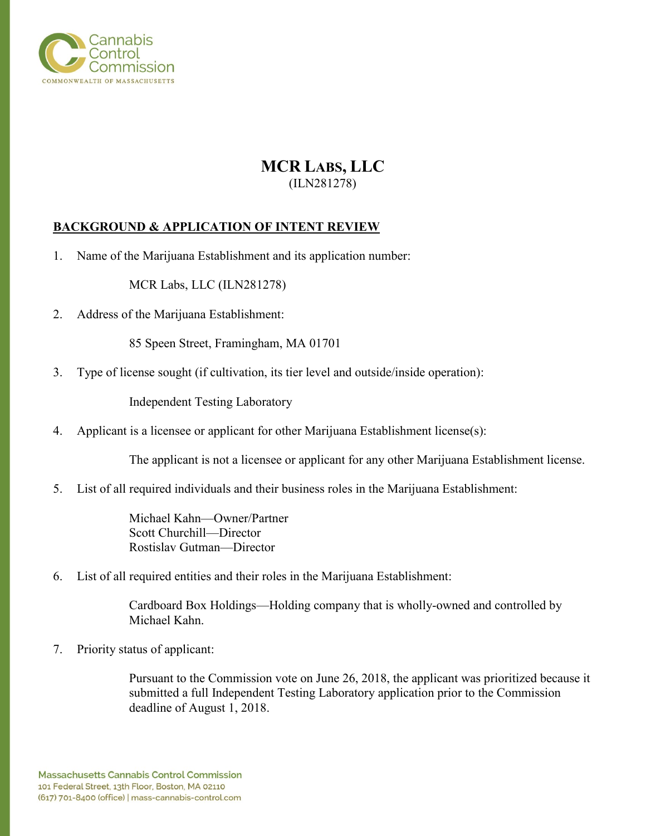

# **MCR LABS, LLC** (ILN281278)

### **BACKGROUND & APPLICATION OF INTENT REVIEW**

1. Name of the Marijuana Establishment and its application number:

MCR Labs, LLC (ILN281278)

2. Address of the Marijuana Establishment:

85 Speen Street, Framingham, MA 01701

3. Type of license sought (if cultivation, its tier level and outside/inside operation):

Independent Testing Laboratory

4. Applicant is a licensee or applicant for other Marijuana Establishment license(s):

The applicant is not a licensee or applicant for any other Marijuana Establishment license.

5. List of all required individuals and their business roles in the Marijuana Establishment:

Michael Kahn—Owner/Partner Scott Churchill—Director Rostislav Gutman—Director

6. List of all required entities and their roles in the Marijuana Establishment:

Cardboard Box Holdings—Holding company that is wholly-owned and controlled by Michael Kahn.

7. Priority status of applicant:

Pursuant to the Commission vote on June 26, 2018, the applicant was prioritized because it submitted a full Independent Testing Laboratory application prior to the Commission deadline of August 1, 2018.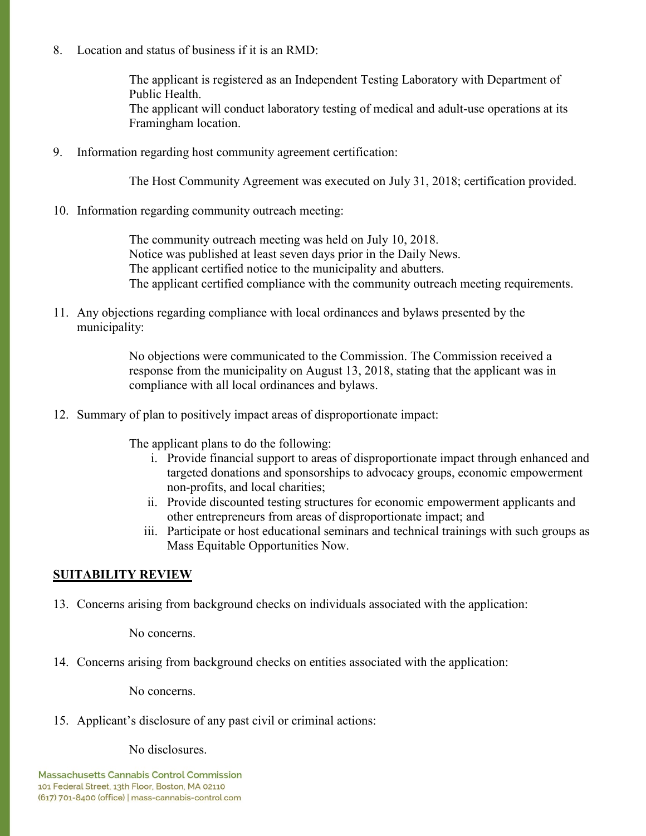8. Location and status of business if it is an RMD:

The applicant is registered as an Independent Testing Laboratory with Department of Public Health. The applicant will conduct laboratory testing of medical and adult-use operations at its Framingham location.

9. Information regarding host community agreement certification:

The Host Community Agreement was executed on July 31, 2018; certification provided.

10. Information regarding community outreach meeting:

The community outreach meeting was held on July 10, 2018. Notice was published at least seven days prior in the Daily News. The applicant certified notice to the municipality and abutters. The applicant certified compliance with the community outreach meeting requirements.

11. Any objections regarding compliance with local ordinances and bylaws presented by the municipality:

> No objections were communicated to the Commission. The Commission received a response from the municipality on August 13, 2018, stating that the applicant was in compliance with all local ordinances and bylaws.

12. Summary of plan to positively impact areas of disproportionate impact:

The applicant plans to do the following:

- i. Provide financial support to areas of disproportionate impact through enhanced and targeted donations and sponsorships to advocacy groups, economic empowerment non-profits, and local charities;
- ii. Provide discounted testing structures for economic empowerment applicants and other entrepreneurs from areas of disproportionate impact; and
- iii. Participate or host educational seminars and technical trainings with such groups as Mass Equitable Opportunities Now.

## **SUITABILITY REVIEW**

13. Concerns arising from background checks on individuals associated with the application:

No concerns.

14. Concerns arising from background checks on entities associated with the application:

No concerns.

15. Applicant's disclosure of any past civil or criminal actions:

No disclosures.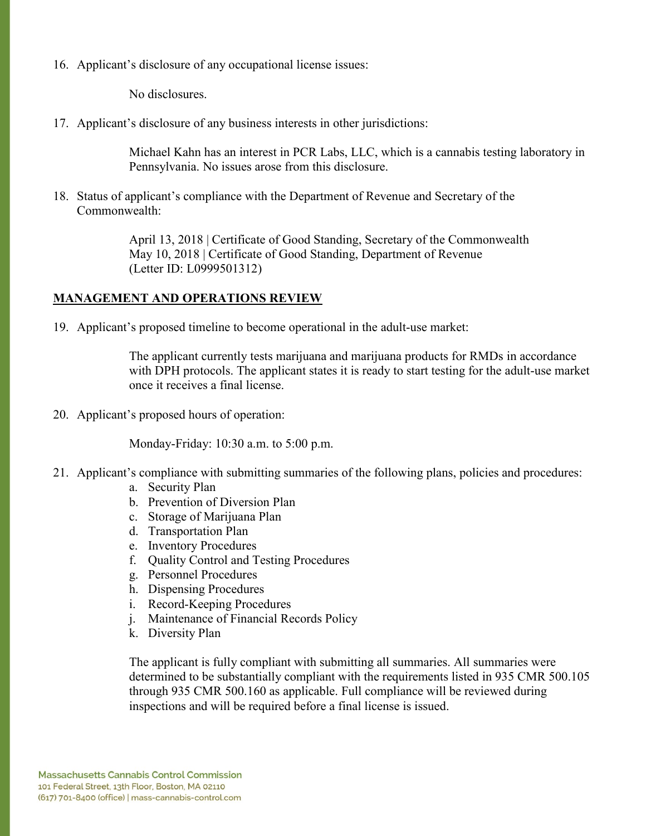16. Applicant's disclosure of any occupational license issues:

No disclosures.

17. Applicant's disclosure of any business interests in other jurisdictions:

Michael Kahn has an interest in PCR Labs, LLC, which is a cannabis testing laboratory in Pennsylvania. No issues arose from this disclosure.

18. Status of applicant's compliance with the Department of Revenue and Secretary of the Commonwealth:

> April 13, 2018 | Certificate of Good Standing, Secretary of the Commonwealth May 10, 2018 | Certificate of Good Standing, Department of Revenue (Letter ID: L0999501312)

#### **MANAGEMENT AND OPERATIONS REVIEW**

19. Applicant's proposed timeline to become operational in the adult-use market:

The applicant currently tests marijuana and marijuana products for RMDs in accordance with DPH protocols. The applicant states it is ready to start testing for the adult-use market once it receives a final license.

20. Applicant's proposed hours of operation:

Monday-Friday: 10:30 a.m. to 5:00 p.m.

- 21. Applicant's compliance with submitting summaries of the following plans, policies and procedures:
	- a. Security Plan
	- b. Prevention of Diversion Plan
	- c. Storage of Marijuana Plan
	- d. Transportation Plan
	- e. Inventory Procedures
	- f. Quality Control and Testing Procedures
	- g. Personnel Procedures
	- h. Dispensing Procedures
	- i. Record-Keeping Procedures
	- j. Maintenance of Financial Records Policy
	- k. Diversity Plan

The applicant is fully compliant with submitting all summaries. All summaries were determined to be substantially compliant with the requirements listed in 935 CMR 500.105 through 935 CMR 500.160 as applicable. Full compliance will be reviewed during inspections and will be required before a final license is issued.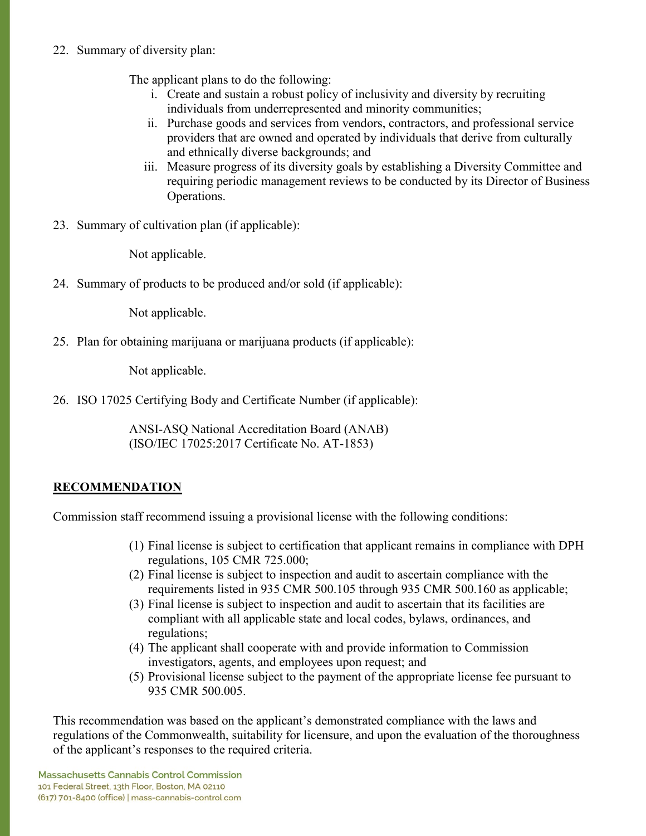## 22. Summary of diversity plan:

The applicant plans to do the following:

- i. Create and sustain a robust policy of inclusivity and diversity by recruiting individuals from underrepresented and minority communities;
- ii. Purchase goods and services from vendors, contractors, and professional service providers that are owned and operated by individuals that derive from culturally and ethnically diverse backgrounds; and
- iii. Measure progress of its diversity goals by establishing a Diversity Committee and requiring periodic management reviews to be conducted by its Director of Business Operations.
- 23. Summary of cultivation plan (if applicable):

Not applicable.

24. Summary of products to be produced and/or sold (if applicable):

Not applicable.

25. Plan for obtaining marijuana or marijuana products (if applicable):

Not applicable.

26. ISO 17025 Certifying Body and Certificate Number (if applicable):

ANSI-ASQ National Accreditation Board (ANAB) (ISO/IEC 17025:2017 Certificate No. AT-1853)

## **RECOMMENDATION**

Commission staff recommend issuing a provisional license with the following conditions:

- (1) Final license is subject to certification that applicant remains in compliance with DPH regulations, 105 CMR 725.000;
- (2) Final license is subject to inspection and audit to ascertain compliance with the requirements listed in 935 CMR 500.105 through 935 CMR 500.160 as applicable;
- (3) Final license is subject to inspection and audit to ascertain that its facilities are compliant with all applicable state and local codes, bylaws, ordinances, and regulations;
- (4) The applicant shall cooperate with and provide information to Commission investigators, agents, and employees upon request; and
- (5) Provisional license subject to the payment of the appropriate license fee pursuant to 935 CMR 500.005.

This recommendation was based on the applicant's demonstrated compliance with the laws and regulations of the Commonwealth, suitability for licensure, and upon the evaluation of the thoroughness of the applicant's responses to the required criteria.